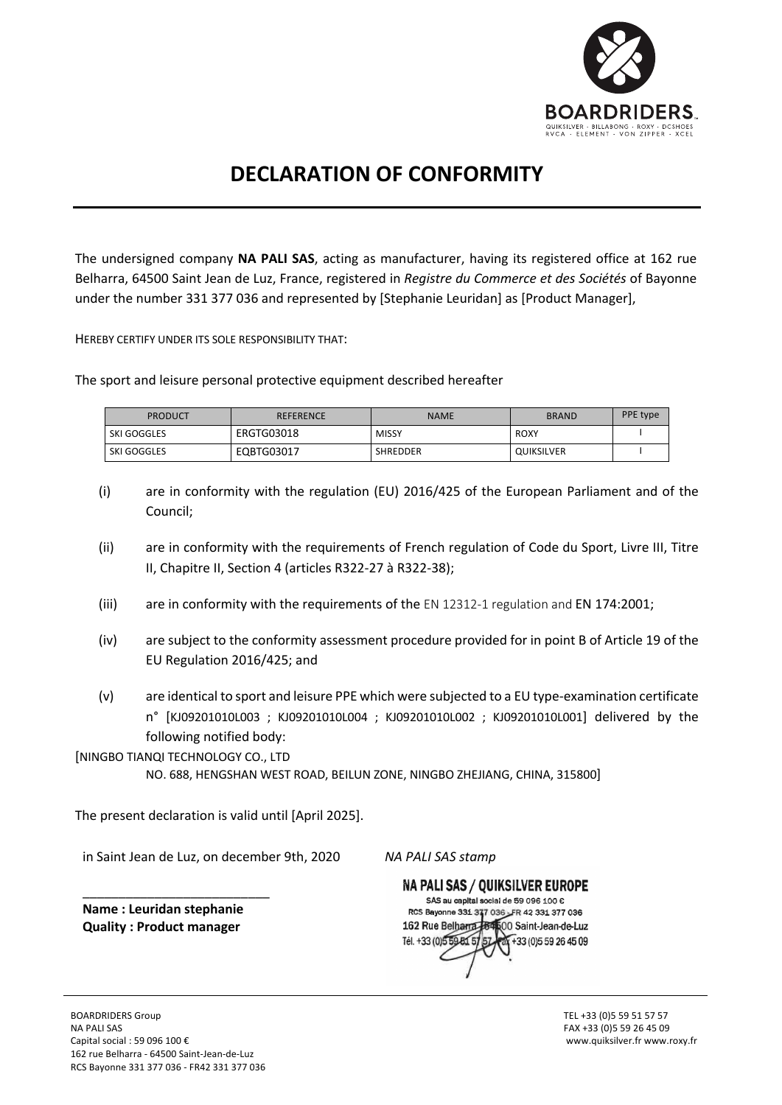

## **DECLARATION OF CONFORMITY**

The undersigned company **NA PALI SAS**, acting as manufacturer, having its registered office at 162 rue Belharra, 64500 Saint Jean de Luz, France, registered in *Registre du Commerce et des Sociétés* of Bayonne under the number 331 377 036 and represented by [Stephanie Leuridan] as [Product Manager],

HEREBY CERTIFY UNDER ITS SOLE RESPONSIBILITY THAT:

The sport and leisure personal protective equipment described hereafter

| <b>PRODUCT</b>     | <b>REFERENCE</b> | <b>NAME</b>     | <b>BRAND</b> | PPE type |
|--------------------|------------------|-----------------|--------------|----------|
| <b>SKI GOGGLES</b> | ERGTG03018       | <b>MISSY</b>    | ROXY         |          |
| <b>SKI GOGGLES</b> | EQBTG03017       | <b>SHREDDER</b> | QUIKSILVER   |          |

- (i) are in conformity with the regulation (EU) 2016/425 of the European Parliament and of the Council;
- (ii) are in conformity with the requirements of French regulation of Code du Sport, Livre III, Titre II, Chapitre II, Section 4 (articles R322-27 à R322-38);
- (iii) are in conformity with the requirements of the EN 12312-1 regulation and EN 174:2001;
- (iv) are subject to the conformity assessment procedure provided for in point B of Article 19 of the EU Regulation 2016/425; and
- (v) are identical to sport and leisure PPE which were subjected to a EU type-examination certificate n° [KJ09201010L003 ; KJ09201010L004 ; KJ09201010L002 ; KJ09201010L001] delivered by the following notified body:

[NINGBO TIANQI TECHNOLOGY CO., LTD

NO. 688, HENGSHAN WEST ROAD, BEILUN ZONE, NINGBO ZHEJIANG, CHINA, 315800]

The present declaration is valid until [April 2025].

in Saint Jean de Luz, on december 9th, 2020

*NA PALI SAS stamp*

**Name : Leuridan stephanie Quality : Product manager**

\_\_\_\_\_\_\_\_\_\_\_\_\_\_\_\_\_\_\_\_\_\_\_\_\_\_

NA PALI SAS / QUIKSILVER EUROPE SAS au capital social de 59.096.100 € RCS Bayonne 331 377 036 FR 42 331 377 036 162 Rue Belharra 184 00 Saint-Jean-de-Luz Tél. +33 (0) 5 59 81 5 +33 (0) 5 59 26 45 09